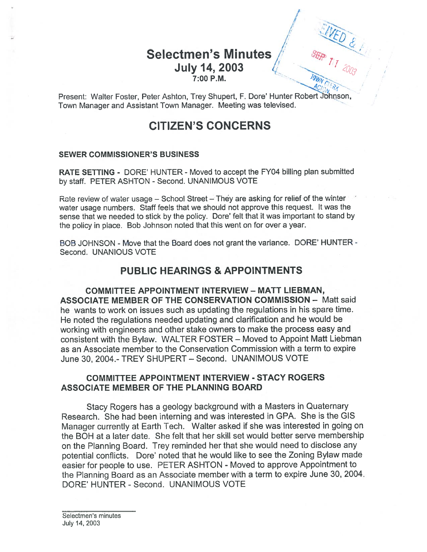## Selectmen's Minutes July 14, 2003 7:00 P.M.

 $\sim$ 

Present: Walter Foster, Peter Ashton, Trey Shupert, F. Dore' Hunter Robert Johnson, Town Manager and Assistant Town Manager. Meeting was televised. <sup>V</sup>

# CITIZEN'S CONCERNS

#### SEWER COMMISSIONER'S BUSINESS

RATE SETTING - DORE' HUNTER - Moved to accep<sup>t</sup> the FY04 billing plan submitted by staff. PETER ASHTON - Second. UNANIMOUS VOTE

Rate review of water usage – School Street – They are asking for relief of the winter water usage numbers. Staff feels that we should not approve this request. It was the sense that we needed to stick by the policy. Dore' felt that it was important to stand by the policy in place. Bob Johnson noted that this went on for over <sup>a</sup> year.

BOB JOHNSON - Move that the Board does not gran<sup>t</sup> the variance. DORE' HUNTER - Second. UNANIOUS VOTE

### PUBLIC HEARINGS & APPOINTMENTS

COMMITTEE APPOINTMENT INTERVIEW — MATT LIEBMAN, ASSOCIATE MEMBER OF THE CONSERVATION COMMISSION — Matt said he wants to work on issues such as updating the regulations in his spare time. He noted the regulations needed updating and clarification and he would be working with engineers and other stake owners to make the process easy and consistent with the Bylaw. WALTER FOSTER — Moved to Appoint Maff Liebman as an Associate member to the Conservation Commission with <sup>a</sup> term to expire June 30, 2004.- TREY SHUPERT — Second. UNANIMOUS VOTE

### COMMITTEE APPOINTMENT INTERVIEW - STACY ROGERS ASSOCIATE MEMBER OF THE PLANNING BOARD

Stacy Rogers has <sup>a</sup> geology background with <sup>a</sup> Masters in Quaternary Research. She had been interning and was interested in GPA. She is the GIS Manager currently at Earth Tech. Walter asked if she was interested in going on the BOH at <sup>a</sup> later date. She felt that her skill set would better serve membership on the Planning Board. Trey reminded her that she would need to disclose any potential conflicts. Dore' noted that he would like to see the Zoning Bylaw made easier for people to use. PETER ASHTON - Moved to approve Appointment to the Planning Board as an Associate member with <sup>a</sup> term to expire June 30, 2004. DORE' HUNTER - Second. UNANIMOUS VOTE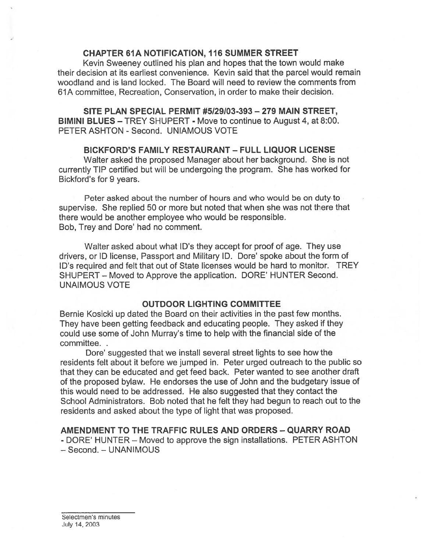#### CHAPTER 61A NOTIFICATION, 116 SUMMER STREET

Kevin Sweeney outlined his plan and hopes that the town would make their decision at its earliest convenience. Kevin said that the parcel would remain woodland and is land locked. The Board will need to review the comments from 61A committee, Recreation, Conservation, in order to make their decision.

SITE PLAN SPECIAL PERMIT #5129103-393 — 279 MAIN STREET, BIMINI BLUES — TREY SHUPERT - Move to continue to August 4, at 8:00. PETER ASHTON - Second. UNIAMOUS VOTE

### BICKFORD'S FAMILY RESTAURANT — FULL LIQUOR LICENSE

Walter asked the proposed Manager about her background. She is not currently TIP certified but will be undergoing the program. She has worked for Bickford's for 9 years.

Peter asked about the number of hours and who would be on duty to supervise. She replied 50 or more but noted that when she was not there that there would be another employee who would be responsible. Bob, Trey and Dore' had no comment.

Walter asked about what ID's they accep<sup>t</sup> for proof of age. They use drivers, or ID license, Passport and Military ID. Dore' spoke about the form of ID's required and felt that out of State licenses would be hard to monitor. TREY SHUPERT — Moved to Approve the application. DORE' HUNTER Second. UNAIMOUS VOTE

#### OUTDOOR LIGHTING COMMITTEE

Bernie Kosicki up dated the Board on their activities in the pas<sup>t</sup> few months. They have been getting feedback and educating people. They asked if they could use some of John Murray's time to help with the financial side of the committee.

Dore' suggested that we install several street lights to see how the residents felt about it before we jumped in. Peter urged outreach to the public so that they can be educated and ge<sup>t</sup> feed back. Peter wanted to see another draft of the proposed bylaw. He endorses the use of John and the budgetary issue of this would need to be addressed. He also suggested that they contact the School Administrators. Bob noted that he felt they had begun to reach out to the residents and asked about the type of light that was proposed.

### AMENDMENT TO THE TRAFFIC RULES AND ORDERS - QUARRY ROAD

- DORE' HUNTER — Moved to approve the sign installations. PETER ASHTON — Second. — UNANIMOUS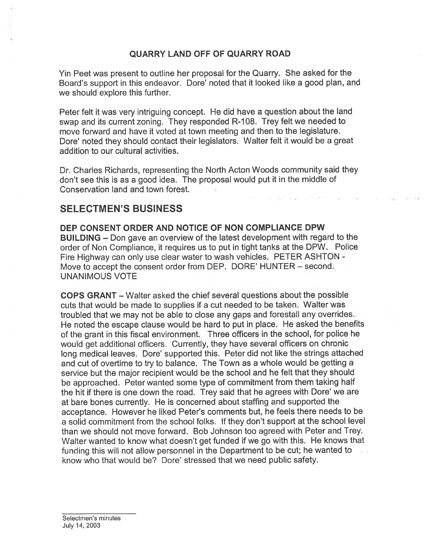### QUARRY LAND OFF OF QUARRY ROAD

Yin Peet was presen<sup>t</sup> to outline her proposal for the Quarry. She asked for the Board's support in this endeavor. Dore' noted that it looked like a good plan, and we should explore this further.

Peter felt it was very intriguing concept. He did have <sup>a</sup> question about the land swap and its current zoning. They responded R-108. Trey felt we needed to move forward and have it voted at town meeting and then to the legislature. Dore' noted they should contact their legislators. Walter felt it would be a great addition to our cultural activities.

Dr. Charles Richards, representing the North Acton Woods community said they don't see this is as <sup>a</sup> good idea. The proposal would pu<sup>t</sup> it in the middle of Conservation land and town forest.

### SELECTMEN'S BUSINESS

DEP CONSENT ORDER AND NOTICE OF NON COMPLIANCE DPW BUILDING — Don gave an overview of the latest development with regar<sup>d</sup> to the order of Non Compliance, it requires us to pu<sup>t</sup> in tight tanks at the DPW. Police Fire Highway can only use clear water to wash vehicles. PETER ASHTON - Move to accep<sup>t</sup> the consent order from DEP. DORE' HUNTER — second. UNANIMOUS VOTE

COPS GRANT — Walter asked the chief several questions about the possible cuts that would be made to supplies if <sup>a</sup> cut needed to be taken. Walter was troubled that we may not be able to close any gaps and forestall any overrides. He noted the escape clause would be hard to pu<sup>t</sup> in <sup>p</sup>lace. He asked the benefits of the gran<sup>t</sup> in this fiscal environment. Three officers in the school, for police he would ge<sup>t</sup> additional officers. Currently, they have several officers on chronic long medical leaves. Dore' supported this. Peter did not like the strings attached and cut of overtime to try to balance. The Town as <sup>a</sup> whole would be getting <sup>a</sup> service but the major recipient would be the school and he felt that they should be approached. Peter wanted some type of commitment from them taking half the hit if there is one down the road. Trey said that he agrees with Dore' we are at bare bones currently. He is concerned about staffing and supported the acceptance. However he liked Peter's comments but, he feels there needs to be <sup>a</sup> solid commitment from the school folks. If they don't suppor<sup>t</sup> at the school level than we should not move forward. Bob Johnson too agreed with Peter and Trey. Walter wanted to know what doesn't ge<sup>t</sup> funded if we go with this. He knows that funding this will not allow personne<sup>l</sup> in the Department to be cut; he wanted to know who that would be? Dore' stressed that we need public safety.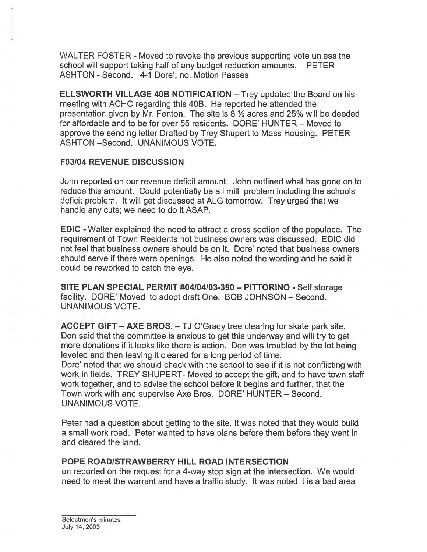WALTER FOSTER - Moved to revoke the previous supporting vote unless the school will suppor<sup>t</sup> taking half of any budget reduction amounts. PETER ASHTON - Second. 4-1 Dore', no. Motion Passes

ELLSWORTH VILLAGE 40B NOTIFICATION — Trey updated the Board on his meeting with ACHC regarding this 40B. He reported he attended the presentation given by Mr. Fenton. The site is  $8\frac{1}{2}$  acres and 25% will be deeded for affordable and to be for over 55 residents. DORE' HUNTER — Moved to approve the sending letter Drafted by Trey Shupert to Mass Housing. PETER ASHTON —Second. UNANIMOUS VOTE.

### F03I04 REVENUE DISCUSSION

John reported on our revenue deficit amount. John outlined what has gone on to reduce this amount. Could potentially be <sup>a</sup> I mill problem including the schools deficit problem. It will get discussed at ALG tomorrow. Trey urged that we handle any cuts; we need to do it ASAP.

EDIC -Walter explained the need to attract <sup>a</sup> cross section of the populace. The requirement of Town Residents not business owners was discussed. EDIC did not feel that business owners should be on it. Dore' noted that business owners should serve if there were openings. He also noted the wording and he said it could be reworked to catch the eye.

SITE PLAN SPECIAL PERMIT #04104103-390 — PITTORINO - Self storage facility. DORE' Moved to adopt draft One. BOB JOHNSON — Second. UNANIMOUS VOTE.

ACCEPT GIFT — AXE EROS. — TJ O'Grady tree clearing for skate park site. Don said that the committee is anxious to ge<sup>t</sup> this underway and will try to ge<sup>t</sup> more donations if it looks like there is action. Don was troubled by the lot being leveled and then leaving it cleared for <sup>a</sup> long period of time.

Dore' noted that we should check with the school to see if it is not conflicting with work in fields. TREY SHUPERT- Moved to accep<sup>t</sup> the gift, and to have town staff work together, and to advise the school before it begins and further, that the Town work with and supervise Axe Bros. DORE' HUNTER — Second. UNANIMOUS VOTE.

Peter had <sup>a</sup> question about getting to the site. It was noted that they would build <sup>a</sup> small work road. Peter wanted to have plans before them before they went in and cleared the land.

### POPE ROADISTRAWEERRY HILL ROAD INTERSECTION

on reported on the reques<sup>t</sup> for <sup>a</sup> 4-way stop sign at the intersection. We would need to meet the warrant and have <sup>a</sup> traffic study. It was noted it is <sup>a</sup> bad area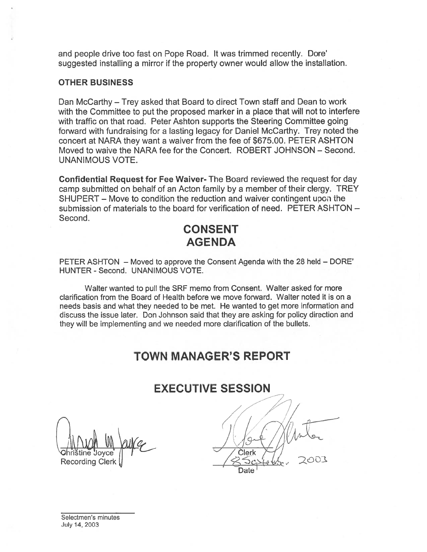and people drive too fast on Pope Road. It was trimmed recently. Dote' suggested installing <sup>a</sup> mirror if the property owner would allow the installation.

#### OTHER BUSINESS

Dan McCarthy — Trey asked that Board to direct Town staff and Dean to work with the Committee to pu<sup>t</sup> the proposed marker in <sup>a</sup> place that will not to interfere with traffic on that road. Peter Ashton supports the Steering Committee going forward with fundraising for <sup>a</sup> lasting legacy for Daniel McCarthy. Trey noted the concert at NARA they want <sup>a</sup> waiver from the fee of \$675.00. PETER ASHTON Moved to waive the NARA fee for the Concert. ROBERT JOHNSON — Second. UNANIMOUS VOTE.

Confidential Request for Fee Waiver- The Board reviewed the reques<sup>t</sup> for day camp submitted on behalf of an Acton family by <sup>a</sup> member of their clergy. TREY SHUPERT — Move to condition the reduction and waiver contingent upon the submission of materials to the board for verification of need. PETER ASHTON — Second.

## CONSENT AGENDA

PETER ASHTON — Moved to approve the Consent Agenda with the 28 held — DORE' HUNTER - Second. UNANIMOUS VOTE.

Walter wanted to pull the SRF memo from Consent. Walter asked for more clarification from the Board of Health before we move forward. Walter noted it is on <sup>a</sup> needs basis and what they needed to be met. He wanted to ge<sup>t</sup> more information and discuss the issue later. Don Johnson said that they are asking for policy direction and they will be implementing and we needed more clarification of the bullets.

# TOWN MANAGER'S REPORT

## EXECUTIVE SESSION

Recording Clerk

**Clerk** Date

Selectmen's minutes July 14, 2003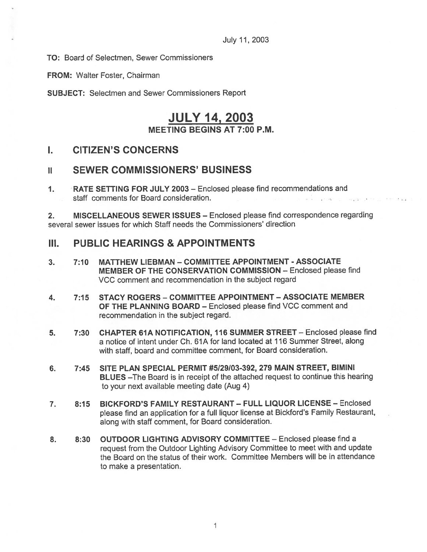TO: Board of Selectmen, Sewer Commissioners

FROM: Walter Foster, Chairman

SUBJECT: Selectmen and Sewer Commissioners Report

## JULY 14, 2003 MEETING BEGINS AT 7:00 P.M.

## I. CITIZEN'S CONCERNS

## ii SEWER COMMISSIONERS' BUSINESS

1. RATE SETTING FOR JULY 2003 — Enclosed please find recommendations and staff comments for Board consideration.

2. MISCELLANEOUS SEWER ISSUES — Enclosed please find correspondence regarding several sewer issues for which Staff needs the Commissioners' direction

### III. PUBLIC HEARINGS & APPOINTMENTS

- 3. 7:10 MATTHEW LIEBMAN COMMITTEE APPOINTMENT ASSOCIATE MEMBER OF THE CONSERVATION COMMISSION — Enclosed please find VCC comment and recommendation in the subject regard
- 4. 7:15 STACY ROGERS COMMITTEE APPOINTMENT ASSOCIATE MEMBER OF THE PLANNING BOARD — Enclosed please find VCC comment and recommendation in the subject regard.
- 5. 7:30 CHAPTER 61A NOTIFICATION, 116 SUMMER STREET Enclosed please find <sup>a</sup> notice of intent under Ch. 61A for land located at 116 Summer Street, along with staff, board and committee comment, for Board consideration.
- 6. 7:45 SITE PLAN SPECIAL PERMIT #5/29/03-392, 279 MAIN STREET, BIMINI BLUES —The Board is in receipt of the attached reques<sup>t</sup> to continue this hearing to your next available meeting date (Aug 4)
- 7. 8:15 BICKFORD'S FAMILY RESTAURANT— FULL LIQUOR LICENSE Enclosed <sup>p</sup>lease find an application for <sup>a</sup> full liquor license at Bickford's Family Restaurant, along with staff comment, for Board consideration.
- 8. 8:30 OUTDOOR LIGHTING ADVISORY COMMITTEE Enclosed please find a reques<sup>t</sup> from the Outdoor Lighting Advisory Committee to meet with and update the Board on the status of their work. Committee Members will be in attendance to make <sup>a</sup> presentation.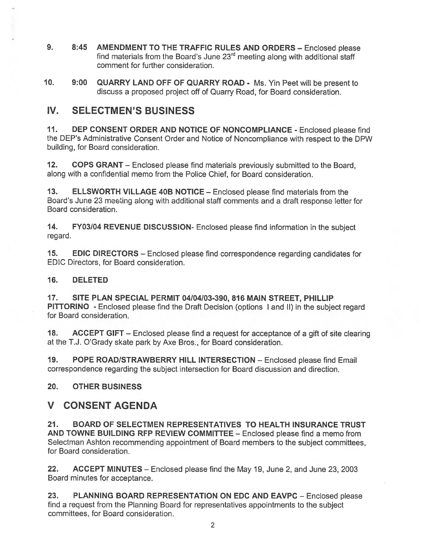- 9. 8:45 AMENDMENT TO THE TRAFFIC RULES AND ORDERS Enclosed please find materials from the Board's June  $23<sup>rd</sup>$  meeting along with additional staff comment for further consideration.
- 10. 9:00 QUARRY LAND OFF OF QUARRY ROAD Ms. Yin Peet will be presen<sup>t</sup> to discuss <sup>a</sup> proposed project off of Quarry Road, for Board consideration.

## IV. SELECTMEN'S BUSINESS

11. DEP CONSENT ORDER AND NOTICE OF NONCOMPLIANCE - Enclosed please find the DEP's Administrative Consent Order and Notice of Noncompliance with respec<sup>t</sup> to the DPW building, for Board consideration.

12. COPS GRANT — Enclosed <sup>p</sup>lease find materials previously submitted to the Board, along with <sup>a</sup> confidential memo from the Police Chief, for Board consideration.

13. ELLSWORTH VILLAGE 40B NOTICE - Enclosed please find materials from the Board's June 23 meeting along with additional staff comments and <sup>a</sup> draft response letter for Board consideration.

14. FY03/04 REVENUE DISCUSSION- Enclosed please find information in the subject regard.

15. EDIC DIRECTORS - Enclosed please find correspondence regarding candidates for EDIC Directors, for Board consideration.

### 16. DELETED

17. SITE PLAN SPECIAL PERMIT 04104103-390, 816 MAIN STREET, PHILLIP PITTORINO - Enclosed please find the Draft Decision (options <sup>I</sup> and II) in the subject regard for Board consideration.

18. ACCEPT GIFT – Enclosed please find a request for acceptance of a gift of site clearing at the T.J. O'Grady skate park by Axe Bros., for Board consideration.

19. POPE ROADISTRAWBERRY HILL INTERSECTION — Enclosed please find Email correspondence regarding the subject intersection for Board discussion and direction.

### 20. OTHER BUSINESS

## V CONSENT AGENDA

21. BOARD OF SELECTMEN REPRESENTATIVES TO HEALTH INSURANCE TRUST AND TOWNE BUILDING RFP REVIEW COMMITTEE — Enclosed please find <sup>a</sup> memo from Selectman Ashton recommending appointment of Board members to the subject committees, for Board consideration.

22. ACCEPT MINUTES – Enclosed please find the May 19, June 2, and June 23, 2003 Board minutes for acceptance.

23. PLANNING BOARD REPRESENTATION ON EDC AND EAVPC - Enclosed please find <sup>a</sup> reques<sup>t</sup> from the Planning Board for representatives appointments to the subject committees, for Board consideration.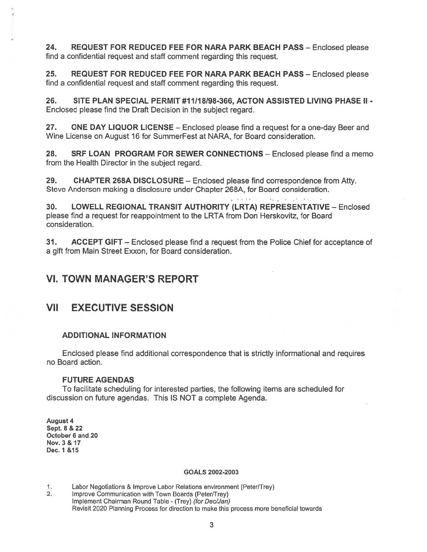24. REQUEST FOR REDUCED FEE FOR NARA PARK BEACH PASS — Enclosed please find <sup>a</sup> confidential reques<sup>t</sup> and staff comment regarding this request.

25. REQUEST FOR REDUCED FEE FOR NARA PARK BEACH PASS - Enclosed please find <sup>a</sup> confidential reques<sup>t</sup> and staff comment regarding this request.

26. SITE PLAN SPECIAL PERMIT #11118198-366, ACTON ASSISTED LIVING PHASE II - Enclosed please find the Draft Decision in the subject regard.

27. ONE DAY LIQUOR LICENSE – Enclosed please find a request for a one-day Beer and Wine License on August 16 for SummerFest at NARA, for Board consideration.

28. SRF LOAN PROGRAM FOR SEWER CONNECTIONS - Enclosed please find a memo from the Health Director in the subject regard.

29. CHAPTER 268A DISCLOSURE — Enclosed please find correspondence from Atty. Steve Anderson making <sup>a</sup> disclosure under Chapter 268A, for Board consideration.

30. LOWELL REGIONAL TRANSIT AUTHORITY (LRTA) REPRESENTATIVE — Enclosed please find <sup>a</sup> reques<sup>t</sup> for reappointment to the LRTA from Don Herskovitz, for Board consideration.

**College** Street

31. ACCEPT GIFT — Enclosed please find <sup>a</sup> reques<sup>t</sup> from the Police Chief for acceptance of <sup>a</sup> gift from Main Street Exxon, for Board consideration.

## VI. TOWN MANAGER'S REPORT

## VII EXECUTIVE SESSION

### ADDITIONAL INFORMATION

Enclosed please find additional correspondence that is strictly informational and requires no Board action.

### FUTURE AGENDAS

To facilitate scheduling for interested parties, the following items are scheduled for discussion on future agendas. This IS NOT <sup>a</sup> complete Agenda.

August 4 Sept. 8 & 22 October 6 and 20 Nov. 3 & 17 Dec. 1 &15

#### GOALS 2002-2003

- 1. Labor Negotiations & Improve Labor Relations environment (Peter/Trey)
- 2. Improve Communication with Town Boards (Peter/Trey) Implement Chairman Round Table - (Trey) (for Dec/Jan) Revisit 2020 Planning Process for direction to make this process more beneficial towards